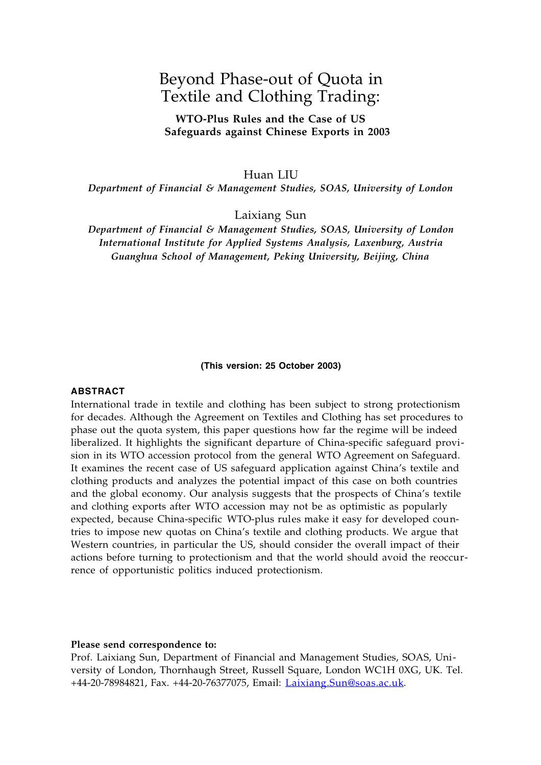# Beyond Phase-out of Quota in Textile and Clothing Trading:

**WTO-Plus Rules and the Case of US Safeguards against Chinese Exports in 2003**

Huan LIU

*Department of Financial & Management Studies, SOAS, University of London*

Laixiang Sun

*Department of Financial & Management Studies, SOAS, University of London International Institute for Applied Systems Analysis, Laxenburg, Austria Guanghua School of Management, Peking University, Beijing, China*

**(This version: 25 October 2003)**

## **ABSTRACT**

International trade in textile and clothing has been subject to strong protectionism for decades. Although the Agreement on Textiles and Clothing has set procedures to phase out the quota system, this paper questions how far the regime will be indeed liberalized. It highlights the significant departure of China-specific safeguard provision in its WTO accession protocol from the general WTO Agreement on Safeguard. It examines the recent case of US safeguard application against China's textile and clothing products and analyzes the potential impact of this case on both countries and the global economy. Our analysis suggests that the prospects of China's textile and clothing exports after WTO accession may not be as optimistic as popularly expected, because China-specific WTO-plus rules make it easy for developed countries to impose new quotas on China's textile and clothing products. We argue that Western countries, in particular the US, should consider the overall impact of their actions before turning to protectionism and that the world should avoid the reoccurrence of opportunistic politics induced protectionism.

#### **Please send correspondence to:**

Prof. Laixiang Sun, Department of Financial and Management Studies, SOAS, University of London, Thornhaugh Street, Russell Square, London WC1H 0XG, UK. Tel. +44-20-78984821, Fax. +44-20-76377075, Email: Laixiang.Sun@soas.ac.uk .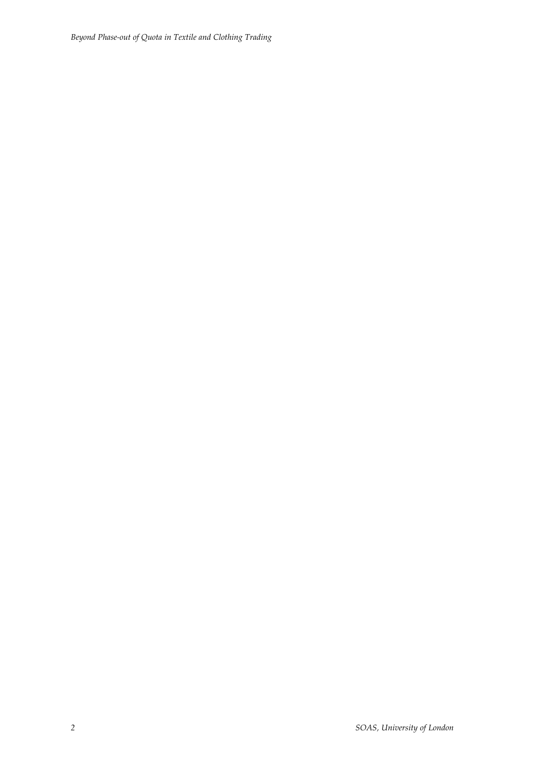*Beyond Phase-out of Quota in Textile and Clothing Trading*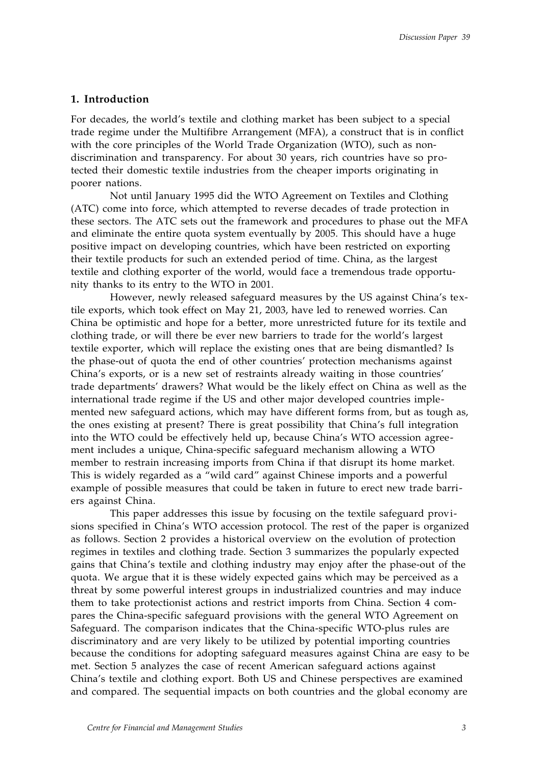#### **1. Introduction**

For decades, the world's textile and clothing market has been subject to a special trade regime under the Multifibre Arrangement (MFA), a construct that is in conflict with the core principles of the World Trade Organization (WTO), such as nondiscrimination and transparency. For about 30 years, rich countries have so protected their domestic textile industries from the cheaper imports originating in poorer nations.

Not until January 1995 did the WTO Agreement on Textiles and Clothing (ATC) come into force, which attempted to reverse decades of trade protection in these sectors. The ATC sets out the framework and procedures to phase out the MFA and eliminate the entire quota system eventually by 2005. This should have a huge positive impact on developing countries, which have been restricted on exporting their textile products for such an extended period of time. China, as the largest textile and clothing exporter of the world, would face a tremendous trade opportunity thanks to its entry to the WTO in 2001.

However, newly released safeguard measures by the US against China's textile exports, which took effect on May 21, 2003, have led to renewed worries. Can China be optimistic and hope for a better, more unrestricted future for its textile and clothing trade, or will there be ever new barriers to trade for the world's largest textile exporter, which will replace the existing ones that are being dismantled? Is the phase-out of quota the end of other countries' protection mechanisms against China's exports, or is a new set of restraints already waiting in those countries' trade departments' drawers? What would be the likely effect on China as well as the international trade regime if the US and other major developed countries implemented new safeguard actions, which may have different forms from, but as tough as, the ones existing at present? There is great possibility that China's full integration into the WTO could be effectively held up, because China's WTO accession agreement includes a unique, China-specific safeguard mechanism allowing a WTO member to restrain increasing imports from China if that disrupt its home market. This is widely regarded as a "wild card" against Chinese imports and a powerful example of possible measures that could be taken in future to erect new trade barriers against China.

This paper addresses this issue by focusing on the textile safeguard provisions specified in China's WTO accession protocol. The rest of the paper is organized as follows. Section 2 provides a historical overview on the evolution of protection regimes in textiles and clothing trade. Section 3 summarizes the popularly expected gains that China's textile and clothing industry may enjoy after the phase-out of the quota. We argue that it is these widely expected gains which may be perceived as a threat by some powerful interest groups in industrialized countries and may induce them to take protectionist actions and restrict imports from China. Section 4 compares the China-specific safeguard provisions with the general WTO Agreement on Safeguard. The comparison indicates that the China-specific WTO-plus rules are discriminatory and are very likely to be utilized by potential importing countries because the conditions for adopting safeguard measures against China are easy to be met. Section 5 analyzes the case of recent American safeguard actions against China's textile and clothing export. Both US and Chinese perspectives are examined and compared. The sequential impacts on both countries and the global economy are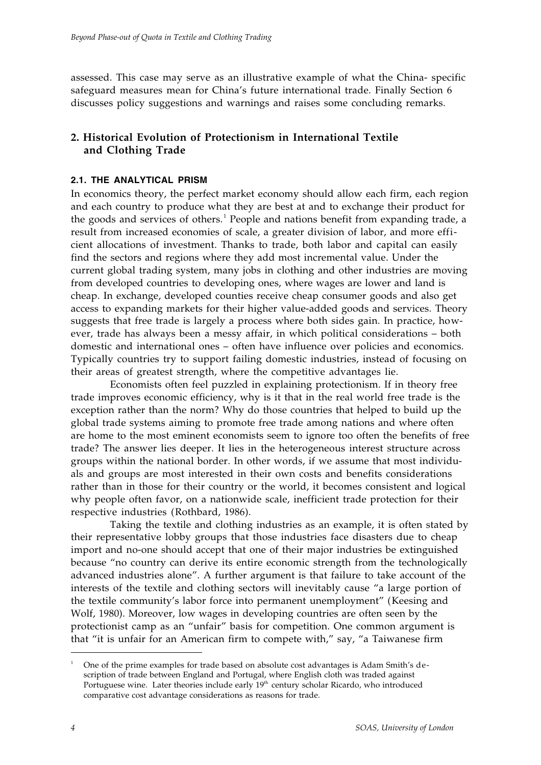assessed. This case may serve as an illustrative example of what the China- specific safeguard measures mean for China's future international trade. Finally Section 6 discusses policy suggestions and warnings and raises some concluding remarks.

# **2. Historical Evolution of Protectionism in International Textile and Clothing Trade**

## **2.1. THE ANALYTICAL PRISM**

In economics theory, the perfect market economy should allow each firm, each region and each country to produce what they are best at and to exchange their product for the goods and services of others.<sup>1</sup> People and nations benefit from expanding trade, a result from increased economies of scale, a greater division of labor, and more efficient allocations of investment. Thanks to trade, both labor and capital can easily find the sectors and regions where they add most incremental value. Under the current global trading system, many jobs in clothing and other industries are moving from developed countries to developing ones, where wages are lower and land is cheap. In exchange, developed counties receive cheap consumer goods and also get access to expanding markets for their higher value-added goods and services. Theory suggests that free trade is largely a process where both sides gain. In practice, however, trade has always been a messy affair, in which political considerations – both domestic and international ones – often have influence over policies and economics. Typically countries try to support failing domestic industries, instead of focusing on their areas of greatest strength, where the competitive advantages lie.

Economists often feel puzzled in explaining protectionism. If in theory free trade improves economic efficiency, why is it that in the real world free trade is the exception rather than the norm? Why do those countries that helped to build up the global trade systems aiming to promote free trade among nations and where often are home to the most eminent economists seem to ignore too often the benefits of free trade? The answer lies deeper. It lies in the heterogeneous interest structure across groups within the national border. In other words, if we assume that most individuals and groups are most interested in their own costs and benefits considerations rather than in those for their country or the world, it becomes consistent and logical why people often favor, on a nationwide scale, inefficient trade protection for their respective industries (Rothbard, 1986).

Taking the textile and clothing industries as an example, it is often stated by their representative lobby groups that those industries face disasters due to cheap import and no-one should accept that one of their major industries be extinguished because "no country can derive its entire economic strength from the technologically advanced industries alone". A further argument is that failure to take account of the interests of the textile and clothing sectors will inevitably cause "a large portion of the textile community's labor force into permanent unemployment" (Keesing and Wolf, 1980). Moreover, low wages in developing countries are often seen by the protectionist camp as an "unfair" basis for competition. One common argument is that "it is unfair for an American firm to compete with," say, "a Taiwanese firm

 $\frac{1}{1}$  One of the prime examples for trade based on absolute cost advantages is Adam Smith's description of trade between England and Portugal, where English cloth was traded against Portuguese wine. Later theories include early 19<sup>th</sup> century scholar Ricardo, who introduced comparative cost advantage considerations as reasons for trade.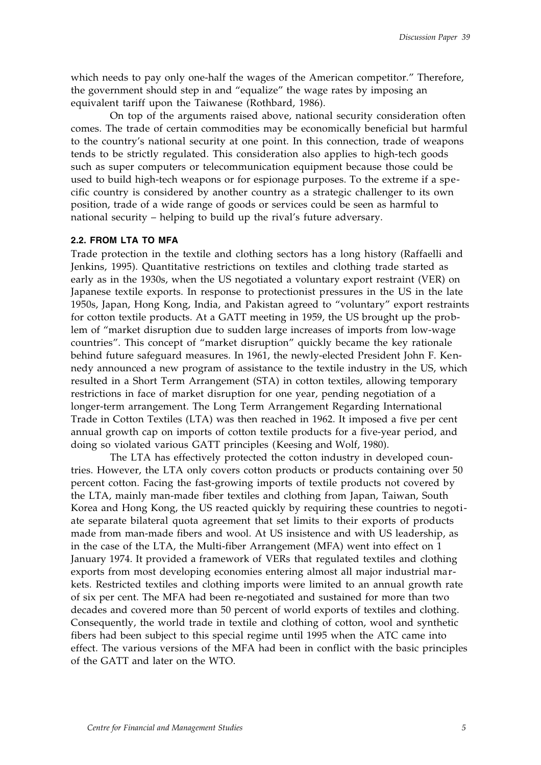which needs to pay only one-half the wages of the American competitor." Therefore, the government should step in and "equalize" the wage rates by imposing an equivalent tariff upon the Taiwanese (Rothbard, 1986).

On top of the arguments raised above, national security consideration often comes. The trade of certain commodities may be economically beneficial but harmful to the country's national security at one point. In this connection, trade of weapons tends to be strictly regulated. This consideration also applies to high-tech goods such as super computers or telecommunication equipment because those could be used to build high-tech weapons or for espionage purposes. To the extreme if a specific country is considered by another country as a strategic challenger to its own position, trade of a wide range of goods or services could be seen as harmful to national security – helping to build up the rival's future adversary.

#### **2.2. FROM LTA TO MFA**

Trade protection in the textile and clothing sectors has a long history (Raffaelli and Jenkins, 1995). Quantitative restrictions on textiles and clothing trade started as early as in the 1930s, when the US negotiated a voluntary export restraint (VER) on Japanese textile exports. In response to protectionist pressures in the US in the late 1950s, Japan, Hong Kong, India, and Pakistan agreed to "voluntary" export restraints for cotton textile products. At a GATT meeting in 1959, the US brought up the problem of "market disruption due to sudden large increases of imports from low-wage countries". This concept of "market disruption" quickly became the key rationale behind future safeguard measures. In 1961, the newly-elected President John F. Kennedy announced a new program of assistance to the textile industry in the US, which resulted in a Short Term Arrangement (STA) in cotton textiles, allowing temporary restrictions in face of market disruption for one year, pending negotiation of a longer-term arrangement. The Long Term Arrangement Regarding International Trade in Cotton Textiles (LTA) was then reached in 1962. It imposed a five per cent annual growth cap on imports of cotton textile products for a five-year period, and doing so violated various GATT principles (Keesing and Wolf, 1980).

The LTA has effectively protected the cotton industry in developed countries. However, the LTA only covers cotton products or products containing over 50 percent cotton. Facing the fast-growing imports of textile products not covered by the LTA, mainly man-made fiber textiles and clothing from Japan, Taiwan, South Korea and Hong Kong, the US reacted quickly by requiring these countries to negotiate separate bilateral quota agreement that set limits to their exports of products made from man-made fibers and wool. At US insistence and with US leadership, as in the case of the LTA, the Multi-fiber Arrangement (MFA) went into effect on 1 January 1974. It provided a framework of VERs that regulated textiles and clothing exports from most developing economies entering almost all major industrial markets. Restricted textiles and clothing imports were limited to an annual growth rate of six per cent. The MFA had been re-negotiated and sustained for more than two decades and covered more than 50 percent of world exports of textiles and clothing. Consequently, the world trade in textile and clothing of cotton, wool and synthetic fibers had been subject to this special regime until 1995 when the ATC came into effect. The various versions of the MFA had been in conflict with the basic principles of the GATT and later on the WTO.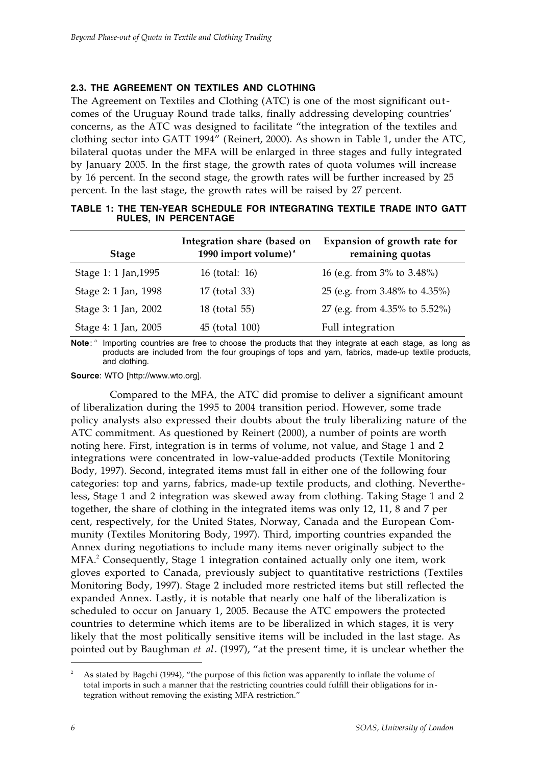# **2.3. THE AGREEMENT ON TEXTILES AND CLOTHING**

The Agreement on Textiles and Clothing (ATC) is one of the most significant outcomes of the Uruguay Round trade talks, finally addressing developing countries' concerns, as the ATC was designed to facilitate "the integration of the textiles and clothing sector into GATT 1994" (Reinert, 2000). As shown in Table 1, under the ATC, bilateral quotas under the MFA will be enlarged in three stages and fully integrated by January 2005. In the first stage, the growth rates of quota volumes will increase by 16 percent. In the second stage, the growth rates will be further increased by 25 percent. In the last stage, the growth rates will be raised by 27 percent.

| <b>Stage</b>         | Integration share (based on<br>1990 import volume) <sup>a</sup> | Expansion of growth rate for<br>remaining quotas |
|----------------------|-----------------------------------------------------------------|--------------------------------------------------|
| Stage 1: 1 Jan, 1995 | 16 (total: 16)                                                  | 16 (e.g. from 3% to 3.48%)                       |
| Stage 2: 1 Jan, 1998 | 17 (total 33)                                                   | 25 (e.g. from 3.48% to 4.35%)                    |
| Stage 3: 1 Jan, 2002 | 18 (total 55)                                                   | 27 (e.g. from 4.35% to 5.52%)                    |
| Stage 4: 1 Jan, 2005 | 45 (total 100)                                                  | Full integration                                 |

**TABLE 1: THE TEN-YEAR SCHEDULE FOR INTEGRATING TEXTILE TRADE INTO GATT RULES, IN PERCENTAGE**

Note:<sup>a</sup> Importing countries are free to choose the products that they integrate at each stage, as long as products are included from the four groupings of tops and yarn, fabrics, made-up textile products, and clothing.

**Source**: WTO [http://www.wto.org].

Compared to the MFA, the ATC did promise to deliver a significant amount of liberalization during the 1995 to 2004 transition period. However, some trade policy analysts also expressed their doubts about the truly liberalizing nature of the ATC commitment. As questioned by Reinert (2000), a number of points are worth noting here. First, integration is in terms of volume, not value, and Stage 1 and 2 integrations were concentrated in low-value-added products (Textile Monitoring Body, 1997). Second, integrated items must fall in either one of the following four categories: top and yarns, fabrics, made-up textile products, and clothing. Nevertheless, Stage 1 and 2 integration was skewed away from clothing. Taking Stage 1 and 2 together, the share of clothing in the integrated items was only 12, 11, 8 and 7 per cent, respectively, for the United States, Norway, Canada and the European Community (Textiles Monitoring Body, 1997). Third, importing countries expanded the Annex during negotiations to include many items never originally subject to the MFA.<sup>2</sup> Consequently, Stage 1 integration contained actually only one item, work gloves exported to Canada, previously subject to quantitative restrictions (Textiles Monitoring Body, 1997). Stage 2 included more restricted items but still reflected the expanded Annex. Lastly, it is notable that nearly one half of the liberalization is scheduled to occur on January 1, 2005. Because the ATC empowers the protected countries to determine which items are to be liberalized in which stages, it is very likely that the most politically sensitive items will be included in the last stage. As pointed out by Baughman *et al*. (1997), "at the present time, it is unclear whether the

 $\frac{1}{2}$  As stated by Bagchi (1994), "the purpose of this fiction was apparently to inflate the volume of total imports in such a manner that the restricting countries could fulfill their obligations for integration without removing the existing MFA restriction."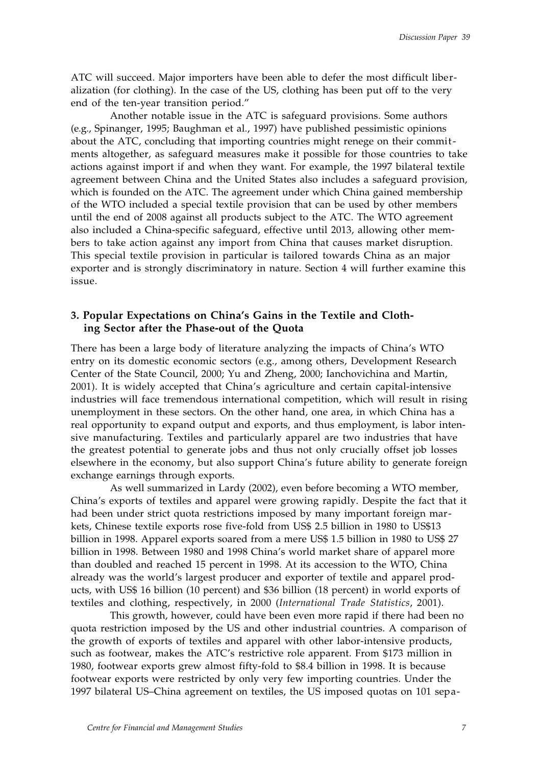ATC will succeed. Major importers have been able to defer the most difficult liberalization (for clothing). In the case of the US, clothing has been put off to the very end of the ten-year transition period."

Another notable issue in the ATC is safeguard provisions. Some authors (e.g., Spinanger, 1995; Baughman et al., 1997) have published pessimistic opinions about the ATC, concluding that importing countries might renege on their commitments altogether, as safeguard measures make it possible for those countries to take actions against import if and when they want. For example, the 1997 bilateral textile agreement between China and the United States also includes a safeguard provision, which is founded on the ATC. The agreement under which China gained membership of the WTO included a special textile provision that can be used by other members until the end of 2008 against all products subject to the ATC. The WTO agreement also included a China-specific safeguard, effective until 2013, allowing other members to take action against any import from China that causes market disruption. This special textile provision in particular is tailored towards China as an major exporter and is strongly discriminatory in nature. Section 4 will further examine this issue.

# **3. Popular Expectations on China's Gains in the Textile and Clothing Sector after the Phase-out of the Quota**

There has been a large body of literature analyzing the impacts of China's WTO entry on its domestic economic sectors (e.g., among others, Development Research Center of the State Council, 2000; Yu and Zheng, 2000; Ianchovichina and Martin, 2001). It is widely accepted that China's agriculture and certain capital-intensive industries will face tremendous international competition, which will result in rising unemployment in these sectors. On the other hand, one area, in which China has a real opportunity to expand output and exports, and thus employment, is labor intensive manufacturing. Textiles and particularly apparel are two industries that have the greatest potential to generate jobs and thus not only crucially offset job losses elsewhere in the economy, but also support China's future ability to generate foreign exchange earnings through exports.

As well summarized in Lardy (2002), even before becoming a WTO member, China's exports of textiles and apparel were growing rapidly. Despite the fact that it had been under strict quota restrictions imposed by many important foreign markets, Chinese textile exports rose five-fold from US\$ 2.5 billion in 1980 to US\$13 billion in 1998. Apparel exports soared from a mere US\$ 1.5 billion in 1980 to US\$ 27 billion in 1998. Between 1980 and 1998 China's world market share of apparel more than doubled and reached 15 percent in 1998. At its accession to the WTO, China already was the world's largest producer and exporter of textile and apparel products, with US\$ 16 billion (10 percent) and \$36 billion (18 percent) in world exports of textiles and clothing, respectively, in 2000 (*International Trade Statistics*, 2001).

This growth, however, could have been even more rapid if there had been no quota restriction imposed by the US and other industrial countries. A comparison of the growth of exports of textiles and apparel with other labor-intensive products, such as footwear, makes the ATC's restrictive role apparent. From \$173 million in 1980, footwear exports grew almost fifty-fold to \$8.4 billion in 1998. It is because footwear exports were restricted by only very few importing countries. Under the 1997 bilateral US–China agreement on textiles, the US imposed quotas on 101 sepa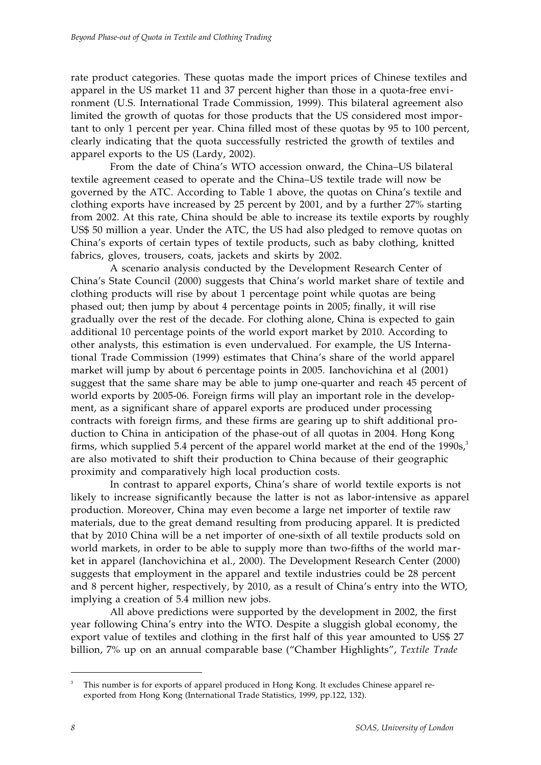rate product categories. These quotas made the import prices of Chinese textiles and apparel in the US market 11 and 37 percent higher than those in a quota-free environment (U.S. International Trade Commission, 1999). This bilateral agreement also limited the growth of quotas for those products that the US considered most important to only 1 percent per year. China filled most of these quotas by 95 to 100 percent, clearly indicating that the quota successfully restricted the growth of textiles and apparel exports to the US (Lardy, 2002).

From the date of China's WTO accession onward, the China–US bilateral textile agreement ceased to operate and the China–US textile trade will now be governed by the ATC. According to Table 1 above, the quotas on China's textile and clothing exports have increased by 25 percent by 2001, and by a further 27% starting from 2002. At this rate, China should be able to increase its textile exports by roughly US\$ 50 million a year. Under the ATC, the US had also pledged to remove quotas on China's exports of certain types of textile products, such as baby clothing, knitted fabrics, gloves, trousers, coats, jackets and skirts by 2002.

A scenario analysis conducted by the Development Research Center of China's State Council (2000) suggests that China's world market share of textile and clothing products will rise by about 1 percentage point while quotas are being phased out; then jump by about 4 percentage points in 2005; finally, it will rise gradually over the rest of the decade. For clothing alone, China is expected to gain additional 10 percentage points of the world export market by 2010. According to other analysts, this estimation is even undervalued. For example, the US International Trade Commission (1999) estimates that China's share of the world apparel market will jump by about 6 percentage points in 2005. Ianchovichina et al (2001) suggest that the same share may be able to jump one-quarter and reach 45 percent of world exports by 2005-06. Foreign firms will play an important role in the development, as a significant share of apparel exports are produced under processing contracts with foreign firms, and these firms are gearing up to shift additional production to China in anticipation of the phase-out of all quotas in 2004. Hong Kong firms, which supplied 5.4 percent of the apparel world market at the end of the 1990s, $3$ are also motivated to shift their production to China because of their geographic proximity and comparatively high local production costs.

In contrast to apparel exports, China's share of world textile exports is not likely to increase significantly because the latter is not as labor-intensive as apparel production. Moreover, China may even become a large net importer of textile raw materials, due to the great demand resulting from producing apparel. It is predicted that by 2010 China will be a net importer of one-sixth of all textile products sold on world markets, in order to be able to supply more than two-fifths of the world market in apparel (Ianchovichina et al., 2000). The Development Research Center (2000) suggests that employment in the apparel and textile industries could be 28 percent and 8 percent higher, respectively, by 2010, as a result of China's entry into the WTO, implying a creation of 5.4 million new jobs.

All above predictions were supported by the development in 2002, the first year following China's entry into the WTO. Despite a sluggish global economy, the export value of textiles and clothing in the first half of this year amounted to US\$ 27 billion, 7% up on an annual comparable base ("Chamber Highlights", *Textile Trade*

<sup>&</sup>lt;sup>-</sup><br>3 This number is for exports of apparel produced in Hong Kong. It excludes Chinese apparel reexported from Hong Kong (International Trade Statistics, 1999, pp.122, 132).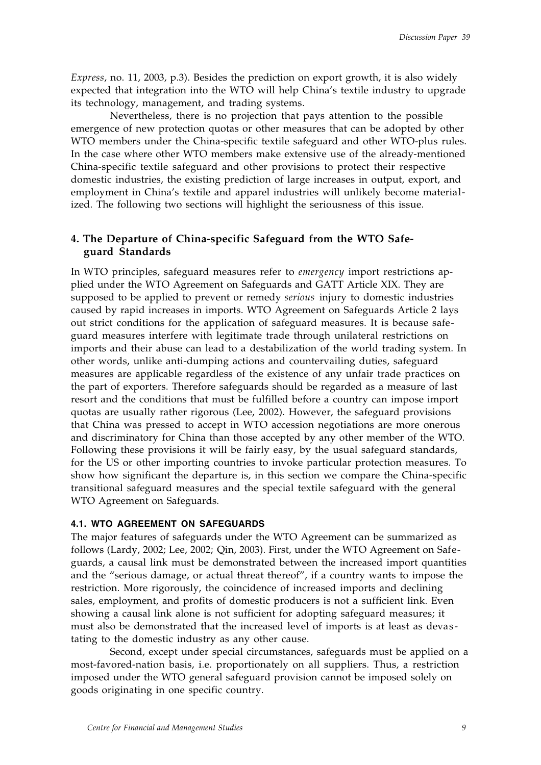*Express*, no. 11, 2003, p.3). Besides the prediction on export growth, it is also widely expected that integration into the WTO will help China's textile industry to upgrade its technology, management, and trading systems.

Nevertheless, there is no projection that pays attention to the possible emergence of new protection quotas or other measures that can be adopted by other WTO members under the China-specific textile safeguard and other WTO-plus rules. In the case where other WTO members make extensive use of the already-mentioned China-specific textile safeguard and other provisions to protect their respective domestic industries, the existing prediction of large increases in output, export, and employment in China's textile and apparel industries will unlikely become materialized. The following two sections will highlight the seriousness of this issue.

# **4. The Departure of China-specific Safeguard from the WTO Safeguard Standards**

In WTO principles, safeguard measures refer to *emergency* import restrictions applied under the WTO Agreement on Safeguards and GATT Article XIX. They are supposed to be applied to prevent or remedy *serious* injury to domestic industries caused by rapid increases in imports. WTO Agreement on Safeguards Article 2 lays out strict conditions for the application of safeguard measures. It is because safeguard measures interfere with legitimate trade through unilateral restrictions on imports and their abuse can lead to a destabilization of the world trading system. In other words, unlike anti-dumping actions and countervailing duties, safeguard measures are applicable regardless of the existence of any unfair trade practices on the part of exporters. Therefore safeguards should be regarded as a measure of last resort and the conditions that must be fulfilled before a country can impose import quotas are usually rather rigorous (Lee, 2002). However, the safeguard provisions that China was pressed to accept in WTO accession negotiations are more onerous and discriminatory for China than those accepted by any other member of the WTO. Following these provisions it will be fairly easy, by the usual safeguard standards, for the US or other importing countries to invoke particular protection measures. To show how significant the departure is, in this section we compare the China-specific transitional safeguard measures and the special textile safeguard with the general WTO Agreement on Safeguards.

## **4.1. WTO AGREEMENT ON SAFEGUARDS**

The major features of safeguards under the WTO Agreement can be summarized as follows (Lardy, 2002; Lee, 2002; Qin, 2003). First, under the WTO Agreement on Safeguards, a causal link must be demonstrated between the increased import quantities and the "serious damage, or actual threat thereof", if a country wants to impose the restriction. More rigorously, the coincidence of increased imports and declining sales, employment, and profits of domestic producers is not a sufficient link. Even showing a causal link alone is not sufficient for adopting safeguard measures; it must also be demonstrated that the increased level of imports is at least as devastating to the domestic industry as any other cause.

Second, except under special circumstances, safeguards must be applied on a most-favored-nation basis, i.e. proportionately on all suppliers. Thus, a restriction imposed under the WTO general safeguard provision cannot be imposed solely on goods originating in one specific country.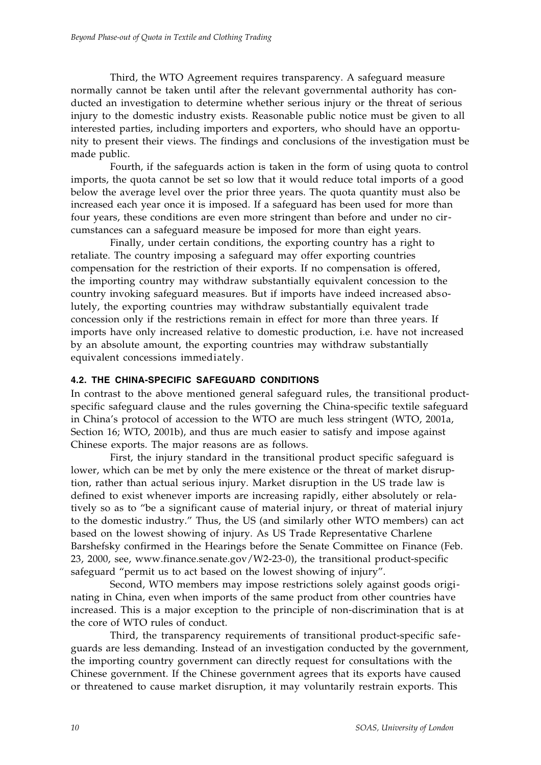Third, the WTO Agreement requires transparency. A safeguard measure normally cannot be taken until after the relevant governmental authority has conducted an investigation to determine whether serious injury or the threat of serious injury to the domestic industry exists. Reasonable public notice must be given to all interested parties, including importers and exporters, who should have an opportunity to present their views. The findings and conclusions of the investigation must be made public.

Fourth, if the safeguards action is taken in the form of using quota to control imports, the quota cannot be set so low that it would reduce total imports of a good below the average level over the prior three years. The quota quantity must also be increased each year once it is imposed. If a safeguard has been used for more than four years, these conditions are even more stringent than before and under no circumstances can a safeguard measure be imposed for more than eight years.

Finally, under certain conditions, the exporting country has a right to retaliate. The country imposing a safeguard may offer exporting countries compensation for the restriction of their exports. If no compensation is offered, the importing country may withdraw substantially equivalent concession to the country invoking safeguard measures. But if imports have indeed increased absolutely, the exporting countries may withdraw substantially equivalent trade concession only if the restrictions remain in effect for more than three years. If imports have only increased relative to domestic production, i.e. have not increased by an absolute amount, the exporting countries may withdraw substantially equivalent concessions immediately.

# **4.2. THE CHINA-SPECIFIC SAFEGUARD CONDITIONS**

In contrast to the above mentioned general safeguard rules, the transitional productspecific safeguard clause and the rules governing the China-specific textile safeguard in China's protocol of accession to the WTO are much less stringent (WTO, 2001a, Section 16; WTO, 2001b), and thus are much easier to satisfy and impose against Chinese exports. The major reasons are as follows.

First, the injury standard in the transitional product specific safeguard is lower, which can be met by only the mere existence or the threat of market disruption, rather than actual serious injury. Market disruption in the US trade law is defined to exist whenever imports are increasing rapidly, either absolutely or relatively so as to "be a significant cause of material injury, or threat of material injury to the domestic industry." Thus, the US (and similarly other WTO members) can act based on the lowest showing of injury. As US Trade Representative Charlene Barshefsky confirmed in the Hearings before the Senate Committee on Finance (Feb. 23, 2000, see, www.finance.senate.gov/W2-23-0), the transitional product-specific safeguard "permit us to act based on the lowest showing of injury".

Second, WTO members may impose restrictions solely against goods originating in China, even when imports of the same product from other countries have increased. This is a major exception to the principle of non-discrimination that is at the core of WTO rules of conduct.

Third, the transparency requirements of transitional product-specific safeguards are less demanding. Instead of an investigation conducted by the government, the importing country government can directly request for consultations with the Chinese government. If the Chinese government agrees that its exports have caused or threatened to cause market disruption, it may voluntarily restrain exports. This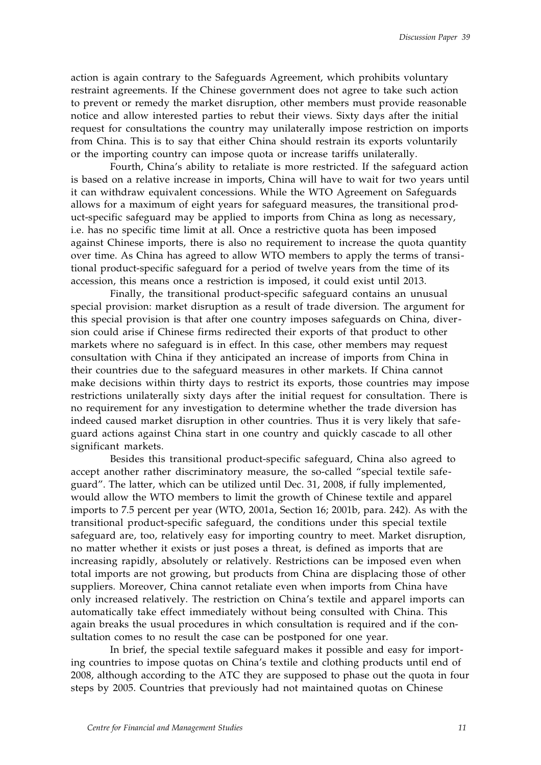action is again contrary to the Safeguards Agreement, which prohibits voluntary restraint agreements. If the Chinese government does not agree to take such action to prevent or remedy the market disruption, other members must provide reasonable notice and allow interested parties to rebut their views. Sixty days after the initial request for consultations the country may unilaterally impose restriction on imports from China. This is to say that either China should restrain its exports voluntarily or the importing country can impose quota or increase tariffs unilaterally.

Fourth, China's ability to retaliate is more restricted. If the safeguard action is based on a relative increase in imports, China will have to wait for two years until it can withdraw equivalent concessions. While the WTO Agreement on Safeguards allows for a maximum of eight years for safeguard measures, the transitional product-specific safeguard may be applied to imports from China as long as necessary, i.e. has no specific time limit at all. Once a restrictive quota has been imposed against Chinese imports, there is also no requirement to increase the quota quantity over time. As China has agreed to allow WTO members to apply the terms of transitional product-specific safeguard for a period of twelve years from the time of its accession, this means once a restriction is imposed, it could exist until 2013.

Finally, the transitional product-specific safeguard contains an unusual special provision: market disruption as a result of trade diversion. The argument for this special provision is that after one country imposes safeguards on China, diversion could arise if Chinese firms redirected their exports of that product to other markets where no safeguard is in effect. In this case, other members may request consultation with China if they anticipated an increase of imports from China in their countries due to the safeguard measures in other markets. If China cannot make decisions within thirty days to restrict its exports, those countries may impose restrictions unilaterally sixty days after the initial request for consultation. There is no requirement for any investigation to determine whether the trade diversion has indeed caused market disruption in other countries. Thus it is very likely that safeguard actions against China start in one country and quickly cascade to all other significant markets.

Besides this transitional product-specific safeguard, China also agreed to accept another rather discriminatory measure, the so-called "special textile safeguard". The latter, which can be utilized until Dec. 31, 2008, if fully implemented, would allow the WTO members to limit the growth of Chinese textile and apparel imports to 7.5 percent per year (WTO, 2001a, Section 16; 2001b, para. 242). As with the transitional product-specific safeguard, the conditions under this special textile safeguard are, too, relatively easy for importing country to meet. Market disruption, no matter whether it exists or just poses a threat, is defined as imports that are increasing rapidly, absolutely or relatively. Restrictions can be imposed even when total imports are not growing, but products from China are displacing those of other suppliers. Moreover, China cannot retaliate even when imports from China have only increased relatively. The restriction on China's textile and apparel imports can automatically take effect immediately without being consulted with China. This again breaks the usual procedures in which consultation is required and if the consultation comes to no result the case can be postponed for one year.

In brief, the special textile safeguard makes it possible and easy for importing countries to impose quotas on China's textile and clothing products until end of 2008, although according to the ATC they are supposed to phase out the quota in four steps by 2005. Countries that previously had not maintained quotas on Chinese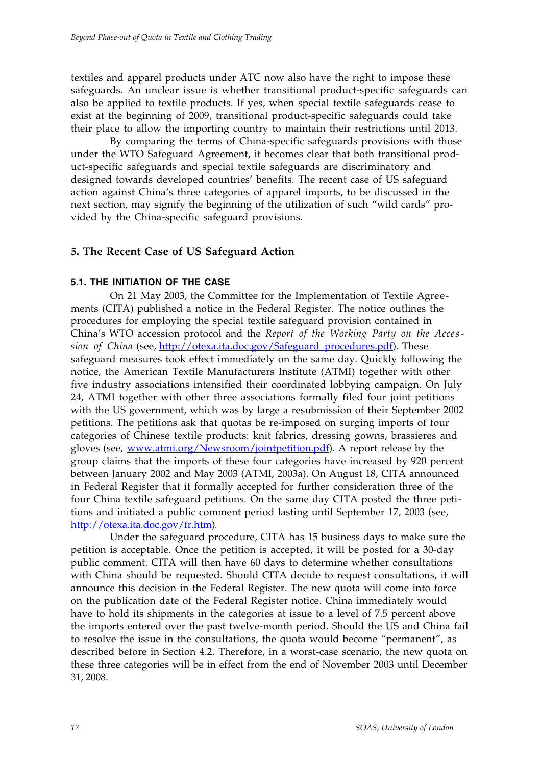textiles and apparel products under ATC now also have the right to impose these safeguards. An unclear issue is whether transitional product-specific safeguards can also be applied to textile products. If yes, when special textile safeguards cease to exist at the beginning of 2009, transitional product-specific safeguards could take their place to allow the importing country to maintain their restrictions until 2013.

By comparing the terms of China-specific safeguards provisions with those under the WTO Safeguard Agreement, it becomes clear that both transitional product-specific safeguards and special textile safeguards are discriminatory and designed towards developed countries' benefits. The recent case of US safeguard action against China's three categories of apparel imports, to be discussed in the next section, may signify the beginning of the utilization of such "wild cards" provided by the China-specific safeguard provisions.

# **5. The Recent Case of US Safeguard Action**

#### **5.1. THE INITIATION OF THE CASE**

On 21 May 2003, the Committee for the Implementation of Textile Agreements (CITA) published a notice in the Federal Register. The notice outlines the procedures for employing the special textile safeguard provision contained in China's WTO accession protocol and the *Report of the Working Party on the Acces sion of China* (see, http://otexa.ita.doc.gov/Safeguard\_procedures.pdf). These safeguard measures took effect immediately on the same day. Quickly following the notice, the American Textile Manufacturers Institute (ATMI) together with other five industry associations intensified their coordinated lobbying campaign. On July 24, ATMI together with other three associations formally filed four joint petitions with the US government, which was by large a resubmission of their September 2002 petitions. The petitions ask that quotas be re-imposed on surging imports of four categories of Chinese textile products: knit fabrics, dressing gowns, brassieres and gloves (see, www.atmi.org/Newsroom/jointpetition.pdf). A report release by the group claims that the imports of these four categories have increased by 920 percent between January 2002 and May 2003 (ATMI, 2003a). On August 18, CITA announced in Federal Register that it formally accepted for further consideration three of the four China textile safeguard petitions. On the same day CITA posted the three petitions and initiated a public comment period lasting until September 17, 2003 (see, http://otexa.ita.doc.gov/fr.htm).

Under the safeguard procedure, CITA has 15 business days to make sure the petition is acceptable. Once the petition is accepted, it will be posted for a 30-day public comment. CITA will then have 60 days to determine whether consultations with China should be requested. Should CITA decide to request consultations, it will announce this decision in the Federal Register. The new quota will come into force on the publication date of the Federal Register notice. China immediately would have to hold its shipments in the categories at issue to a level of 7.5 percent above the imports entered over the past twelve-month period. Should the US and China fail to resolve the issue in the consultations, the quota would become "permanent", as described before in Section 4.2. Therefore, in a worst-case scenario, the new quota on these three categories will be in effect from the end of November 2003 until December 31, 2008.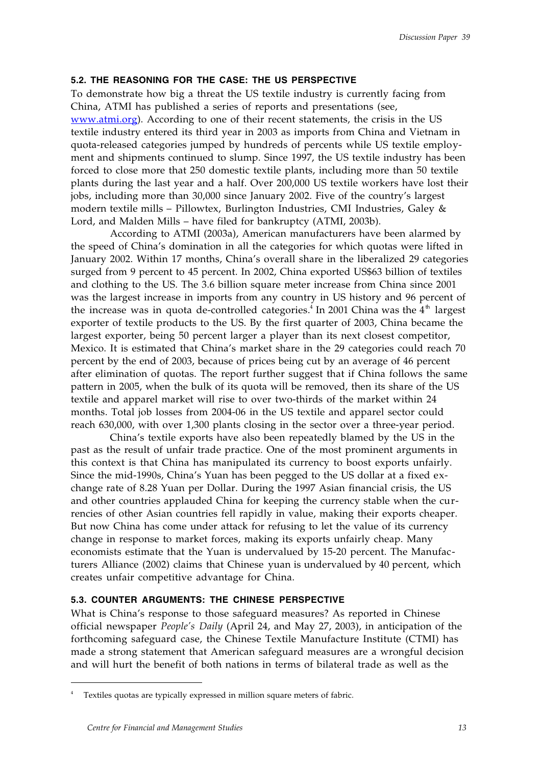# **5.2. THE REASONING FOR THE CASE: THE US PERSPECTIVE**

To demonstrate how big a threat the US textile industry is currently facing from China, ATMI has published a series of reports and presentations (see, www.atmi.org). According to one of their recent statements, the crisis in the US textile industry entered its third year in 2003 as imports from China and Vietnam in quota-released categories jumped by hundreds of percents while US textile employment and shipments continued to slump. Since 1997, the US textile industry has been forced to close more that 250 domestic textile plants, including more than 50 textile plants during the last year and a half. Over 200,000 US textile workers have lost their jobs, including more than 30,000 since January 2002. Five of the country's largest modern textile mills – Pillowtex, Burlington Industries, CMI Industries, Galey & Lord, and Malden Mills – have filed for bankruptcy (ATMI, 2003b).

According to ATMI (2003a), American manufacturers have been alarmed by the speed of China's domination in all the categories for which quotas were lifted in January 2002. Within 17 months, China's overall share in the liberalized 29 categories surged from 9 percent to 45 percent. In 2002, China exported US\$63 billion of textiles and clothing to the US. The 3.6 billion square meter increase from China since 2001 was the largest increase in imports from any country in US history and 96 percent of the increase was in quota de-controlled categories. $^{\textrm{\tiny{A}}}$  In 2001 China was the  $4^{\textrm{\tiny{th}}}$  largest exporter of textile products to the US. By the first quarter of 2003, China became the largest exporter, being 50 percent larger a player than its next closest competitor, Mexico. It is estimated that China's market share in the 29 categories could reach 70 percent by the end of 2003, because of prices being cut by an average of 46 percent after elimination of quotas. The report further suggest that if China follows the same pattern in 2005, when the bulk of its quota will be removed, then its share of the US textile and apparel market will rise to over two-thirds of the market within 24 months. Total job losses from 2004-06 in the US textile and apparel sector could reach 630,000, with over 1,300 plants closing in the sector over a three-year period.

China's textile exports have also been repeatedly blamed by the US in the past as the result of unfair trade practice. One of the most prominent arguments in this context is that China has manipulated its currency to boost exports unfairly. Since the mid-1990s, China's Yuan has been pegged to the US dollar at a fixed exchange rate of 8.28 Yuan per Dollar. During the 1997 Asian financial crisis, the US and other countries applauded China for keeping the currency stable when the currencies of other Asian countries fell rapidly in value, making their exports cheaper. But now China has come under attack for refusing to let the value of its currency change in response to market forces, making its exports unfairly cheap. Many economists estimate that the Yuan is undervalued by 15-20 percent. The Manufacturers Alliance (2002) claims that Chinese yuan is undervalued by 40 percent, which creates unfair competitive advantage for China.

## **5.3. COUNTER ARGUMENTS: THE CHINESE PERSPECTIVE**

What is China's response to those safeguard measures? As reported in Chinese official newspaper *People's Daily* (April 24, and May 27, 2003), in anticipation of the forthcoming safeguard case, the Chinese Textile Manufacture Institute (CTMI) has made a strong statement that American safeguard measures are a wrongful decision and will hurt the benefit of both nations in terms of bilateral trade as well as the

 $\frac{1}{4}$ Textiles quotas are typically expressed in million square meters of fabric.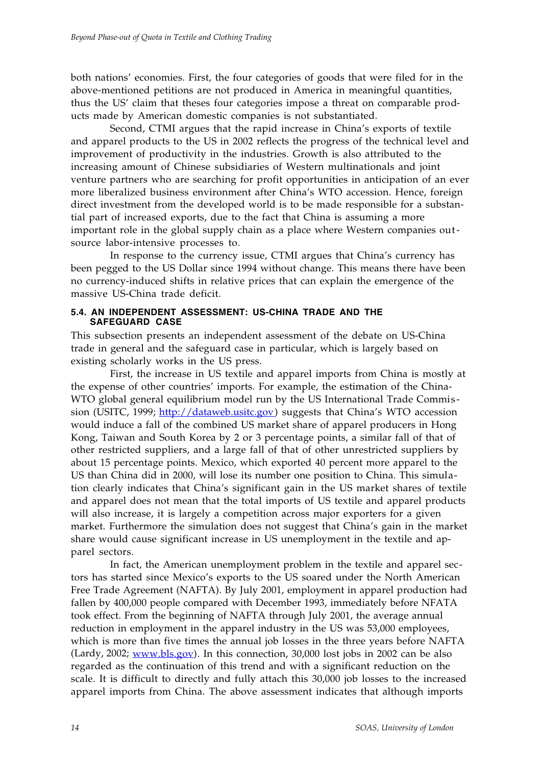both nations' economies. First, the four categories of goods that were filed for in the above-mentioned petitions are not produced in America in meaningful quantities, thus the US' claim that theses four categories impose a threat on comparable products made by American domestic companies is not substantiated.

Second, CTMI argues that the rapid increase in China's exports of textile and apparel products to the US in 2002 reflects the progress of the technical level and improvement of productivity in the industries. Growth is also attributed to the increasing amount of Chinese subsidiaries of Western multinationals and joint venture partners who are searching for profit opportunities in anticipation of an ever more liberalized business environment after China's WTO accession. Hence, foreign direct investment from the developed world is to be made responsible for a substantial part of increased exports, due to the fact that China is assuming a more important role in the global supply chain as a place where Western companies outsource labor-intensive processes to.

In response to the currency issue, CTMI argues that China's currency has been pegged to the US Dollar since 1994 without change. This means there have been no currency-induced shifts in relative prices that can explain the emergence of the massive US-China trade deficit.

#### **5.4. AN INDEPENDENT ASSESSMENT: US-CHINA TRADE AND THE SAFEGUARD CASE**

This subsection presents an independent assessment of the debate on US-China trade in general and the safeguard case in particular, which is largely based on existing scholarly works in the US press.

First, the increase in US textile and apparel imports from China is mostly at the expense of other countries' imports. For example, the estimation of the China-WTO global general equilibrium model run by the US International Trade Commission (USITC, 1999; http://dataweb.usitc.gov) suggests that China's WTO accession would induce a fall of the combined US market share of apparel producers in Hong Kong, Taiwan and South Korea by 2 or 3 percentage points, a similar fall of that of other restricted suppliers, and a large fall of that of other unrestricted suppliers by about 15 percentage points. Mexico, which exported 40 percent more apparel to the US than China did in 2000, will lose its number one position to China. This simulation clearly indicates that China's significant gain in the US market shares of textile and apparel does not mean that the total imports of US textile and apparel products will also increase, it is largely a competition across major exporters for a given market. Furthermore the simulation does not suggest that China's gain in the market share would cause significant increase in US unemployment in the textile and apparel sectors.

In fact, the American unemployment problem in the textile and apparel sectors has started since Mexico's exports to the US soared under the North American Free Trade Agreement (NAFTA). By July 2001, employment in apparel production had fallen by 400,000 people compared with December 1993, immediately before NFATA took effect. From the beginning of NAFTA through July 2001, the average annual reduction in employment in the apparel industry in the US was 53,000 employees, which is more than five times the annual job losses in the three years before NAFTA (Lardy, 2002; www.bls.gov). In this connection, 30,000 lost jobs in 2002 can be also regarded as the continuation of this trend and with a significant reduction on the scale. It is difficult to directly and fully attach this 30,000 job losses to the increased apparel imports from China. The above assessment indicates that although imports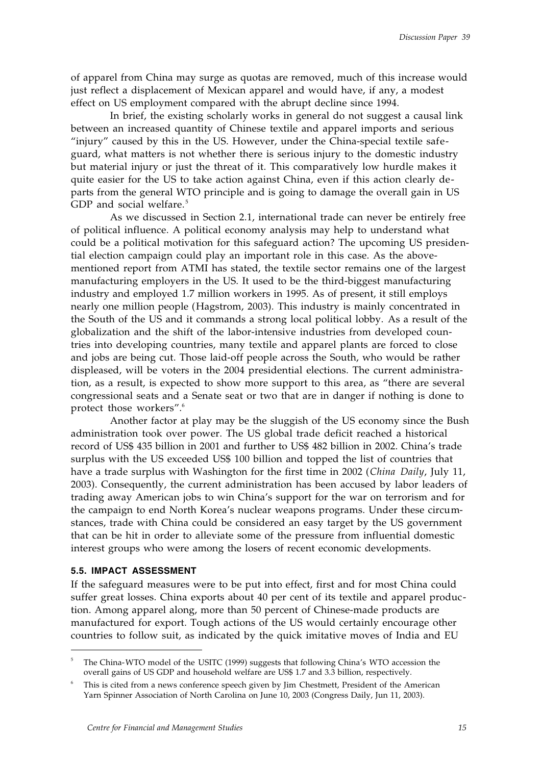of apparel from China may surge as quotas are removed, much of this increase would just reflect a displacement of Mexican apparel and would have, if any, a modest effect on US employment compared with the abrupt decline since 1994.

In brief, the existing scholarly works in general do not suggest a causal link between an increased quantity of Chinese textile and apparel imports and serious "injury" caused by this in the US. However, under the China-special textile safeguard, what matters is not whether there is serious injury to the domestic industry but material injury or just the threat of it. This comparatively low hurdle makes it quite easier for the US to take action against China, even if this action clearly departs from the general WTO principle and is going to damage the overall gain in US GDP and social welfare.<sup>5</sup>

As we discussed in Section 2.1, international trade can never be entirely free of political influence. A political economy analysis may help to understand what could be a political motivation for this safeguard action? The upcoming US presidential election campaign could play an important role in this case. As the abovementioned report from ATMI has stated, the textile sector remains one of the largest manufacturing employers in the US. It used to be the third-biggest manufacturing industry and employed 1.7 million workers in 1995. As of present, it still employs nearly one million people (Hagstrom, 2003). This industry is mainly concentrated in the South of the US and it commands a strong local political lobby. As a result of the globalization and the shift of the labor-intensive industries from developed countries into developing countries, many textile and apparel plants are forced to close and jobs are being cut. Those laid-off people across the South, who would be rather displeased, will be voters in the 2004 presidential elections. The current administration, as a result, is expected to show more support to this area, as "there are several congressional seats and a Senate seat or two that are in danger if nothing is done to protect those workers".6

Another factor at play may be the sluggish of the US economy since the Bush administration took over power. The US global trade deficit reached a historical record of US\$ 435 billion in 2001 and further to US\$ 482 billion in 2002. China's trade surplus with the US exceeded US\$ 100 billion and topped the list of countries that have a trade surplus with Washington for the first time in 2002 (*China Daily*, July 11, 2003). Consequently, the current administration has been accused by labor leaders of trading away American jobs to win China's support for the war on terrorism and for the campaign to end North Korea's nuclear weapons programs. Under these circumstances, trade with China could be considered an easy target by the US government that can be hit in order to alleviate some of the pressure from influential domestic interest groups who were among the losers of recent economic developments.

## **5.5. IMPACT ASSESSMENT**

If the safeguard measures were to be put into effect, first and for most China could suffer great losses. China exports about 40 per cent of its textile and apparel production. Among apparel along, more than 50 percent of Chinese-made products are manufactured for export. Tough actions of the US would certainly encourage other countries to follow suit, as indicated by the quick imitative moves of India and EU

 <sup>5</sup> The China-WTO model of the USITC (1999) suggests that following China's WTO accession the overall gains of US GDP and household welfare are US\$ 1.7 and 3.3 billion, respectively.

<sup>6</sup> This is cited from a news conference speech given by Jim Chestmett, President of the American Yarn Spinner Association of North Carolina on June 10, 2003 (Congress Daily, Jun 11, 2003).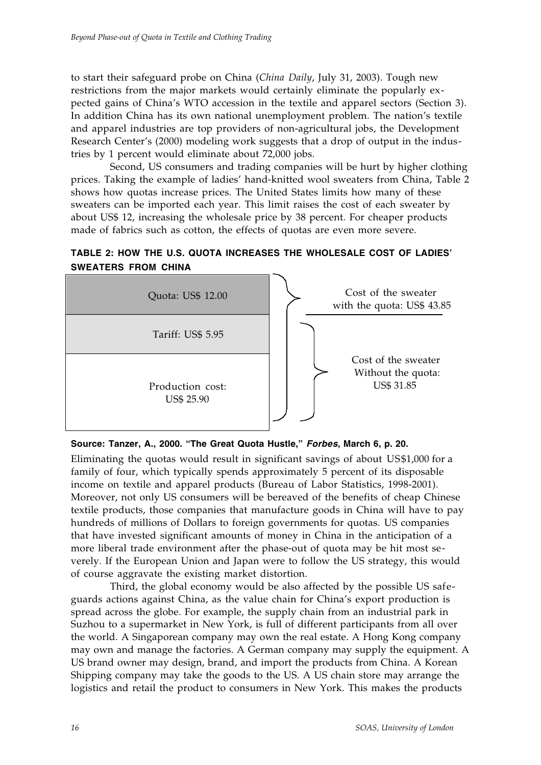to start their safeguard probe on China (*China Daily*, July 31, 2003). Tough new restrictions from the major markets would certainly eliminate the popularly expected gains of China's WTO accession in the textile and apparel sectors (Section 3). In addition China has its own national unemployment problem. The nation's textile and apparel industries are top providers of non-agricultural jobs, the Development Research Center's (2000) modeling work suggests that a drop of output in the industries by 1 percent would eliminate about 72,000 jobs.

Second, US consumers and trading companies will be hurt by higher clothing prices. Taking the example of ladies' hand-knitted wool sweaters from China, Table 2 shows how quotas increase prices. The United States limits how many of these sweaters can be imported each year. This limit raises the cost of each sweater by about US\$ 12, increasing the wholesale price by 38 percent. For cheaper products made of fabrics such as cotton, the effects of quotas are even more severe.





## **Source: Tanzer, A., 2000. "The Great Quota Hustle,"** *Forbes***, March 6, p. 20.**

Eliminating the quotas would result in significant savings of about US\$1,000 for a family of four, which typically spends approximately 5 percent of its disposable income on textile and apparel products (Bureau of Labor Statistics, 1998-2001). Moreover, not only US consumers will be bereaved of the benefits of cheap Chinese textile products, those companies that manufacture goods in China will have to pay hundreds of millions of Dollars to foreign governments for quotas. US companies that have invested significant amounts of money in China in the anticipation of a more liberal trade environment after the phase-out of quota may be hit most severely. If the European Union and Japan were to follow the US strategy, this would of course aggravate the existing market distortion.

Third, the global economy would be also affected by the possible US safeguards actions against China, as the value chain for China's export production is spread across the globe. For example, the supply chain from an industrial park in Suzhou to a supermarket in New York, is full of different participants from all over the world. A Singaporean company may own the real estate. A Hong Kong company may own and manage the factories. A German company may supply the equipment. A US brand owner may design, brand, and import the products from China. A Korean Shipping company may take the goods to the US. A US chain store may arrange the logistics and retail the product to consumers in New York. This makes the products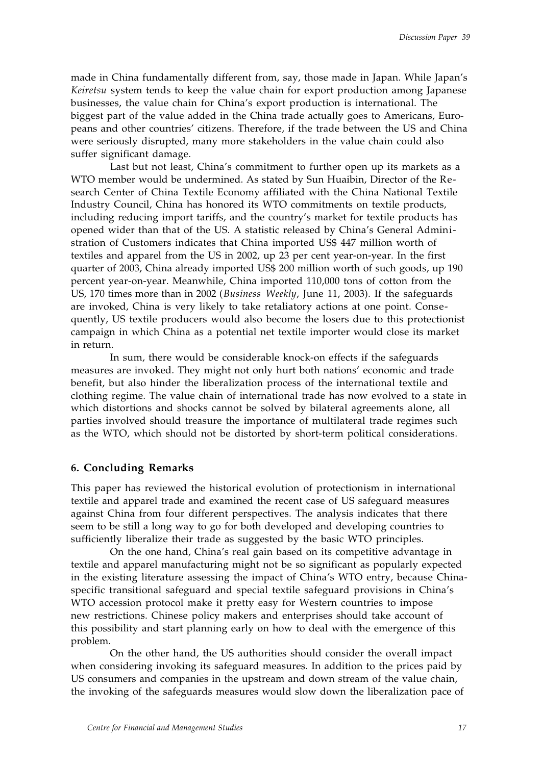made in China fundamentally different from, say, those made in Japan. While Japan's *Keiretsu* system tends to keep the value chain for export production among Japanese businesses, the value chain for China's export production is international. The biggest part of the value added in the China trade actually goes to Americans, Europeans and other countries' citizens. Therefore, if the trade between the US and China were seriously disrupted, many more stakeholders in the value chain could also suffer significant damage.

Last but not least, China's commitment to further open up its markets as a WTO member would be undermined. As stated by Sun Huaibin, Director of the Research Center of China Textile Economy affiliated with the China National Textile Industry Council, China has honored its WTO commitments on textile products, including reducing import tariffs, and the country's market for textile products has opened wider than that of the US. A statistic released by China's General Administration of Customers indicates that China imported US\$ 447 million worth of textiles and apparel from the US in 2002, up 23 per cent year-on-year. In the first quarter of 2003, China already imported US\$ 200 million worth of such goods, up 190 percent year-on-year. Meanwhile, China imported 110,000 tons of cotton from the US, 170 times more than in 2002 (*Business Weekly*, June 11, 2003). If the safeguards are invoked, China is very likely to take retaliatory actions at one point. Consequently, US textile producers would also become the losers due to this protectionist campaign in which China as a potential net textile importer would close its market in return.

In sum, there would be considerable knock-on effects if the safeguards measures are invoked. They might not only hurt both nations' economic and trade benefit, but also hinder the liberalization process of the international textile and clothing regime. The value chain of international trade has now evolved to a state in which distortions and shocks cannot be solved by bilateral agreements alone, all parties involved should treasure the importance of multilateral trade regimes such as the WTO, which should not be distorted by short-term political considerations.

# **6. Concluding Remarks**

This paper has reviewed the historical evolution of protectionism in international textile and apparel trade and examined the recent case of US safeguard measures against China from four different perspectives. The analysis indicates that there seem to be still a long way to go for both developed and developing countries to sufficiently liberalize their trade as suggested by the basic WTO principles.

On the one hand, China's real gain based on its competitive advantage in textile and apparel manufacturing might not be so significant as popularly expected in the existing literature assessing the impact of China's WTO entry, because Chinaspecific transitional safeguard and special textile safeguard provisions in China's WTO accession protocol make it pretty easy for Western countries to impose new restrictions. Chinese policy makers and enterprises should take account of this possibility and start planning early on how to deal with the emergence of this problem.

On the other hand, the US authorities should consider the overall impact when considering invoking its safeguard measures. In addition to the prices paid by US consumers and companies in the upstream and down stream of the value chain, the invoking of the safeguards measures would slow down the liberalization pace of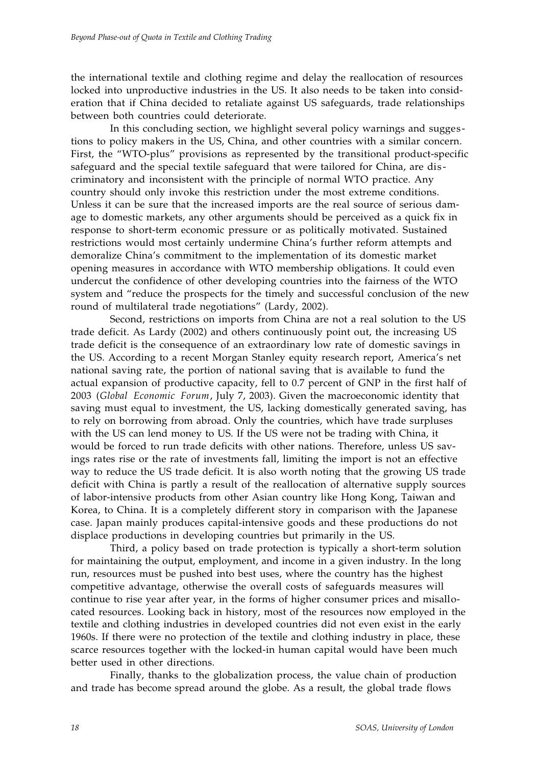the international textile and clothing regime and delay the reallocation of resources locked into unproductive industries in the US. It also needs to be taken into consideration that if China decided to retaliate against US safeguards, trade relationships between both countries could deteriorate.

In this concluding section, we highlight several policy warnings and suggestions to policy makers in the US, China, and other countries with a similar concern. First, the "WTO-plus" provisions as represented by the transitional product-specific safeguard and the special textile safeguard that were tailored for China, are discriminatory and inconsistent with the principle of normal WTO practice. Any country should only invoke this restriction under the most extreme conditions. Unless it can be sure that the increased imports are the real source of serious damage to domestic markets, any other arguments should be perceived as a quick fix in response to short-term economic pressure or as politically motivated. Sustained restrictions would most certainly undermine China's further reform attempts and demoralize China's commitment to the implementation of its domestic market opening measures in accordance with WTO membership obligations. It could even undercut the confidence of other developing countries into the fairness of the WTO system and "reduce the prospects for the timely and successful conclusion of the new round of multilateral trade negotiations" (Lardy, 2002).

Second, restrictions on imports from China are not a real solution to the US trade deficit. As Lardy (2002) and others continuously point out, the increasing US trade deficit is the consequence of an extraordinary low rate of domestic savings in the US. According to a recent Morgan Stanley equity research report, America's net national saving rate, the portion of national saving that is available to fund the actual expansion of productive capacity, fell to 0.7 percent of GNP in the first half of 2003 (*Global Economic Forum*, July 7, 2003). Given the macroeconomic identity that saving must equal to investment, the US, lacking domestically generated saving, has to rely on borrowing from abroad. Only the countries, which have trade surpluses with the US can lend money to US. If the US were not be trading with China, it would be forced to run trade deficits with other nations. Therefore, unless US savings rates rise or the rate of investments fall, limiting the import is not an effective way to reduce the US trade deficit. It is also worth noting that the growing US trade deficit with China is partly a result of the reallocation of alternative supply sources of labor-intensive products from other Asian country like Hong Kong, Taiwan and Korea, to China. It is a completely different story in comparison with the Japanese case. Japan mainly produces capital-intensive goods and these productions do not displace productions in developing countries but primarily in the US.

Third, a policy based on trade protection is typically a short-term solution for maintaining the output, employment, and income in a given industry. In the long run, resources must be pushed into best uses, where the country has the highest competitive advantage, otherwise the overall costs of safeguards measures will continue to rise year after year, in the forms of higher consumer prices and misallocated resources. Looking back in history, most of the resources now employed in the textile and clothing industries in developed countries did not even exist in the early 1960s. If there were no protection of the textile and clothing industry in place, these scarce resources together with the locked-in human capital would have been much better used in other directions.

Finally, thanks to the globalization process, the value chain of production and trade has become spread around the globe. As a result, the global trade flows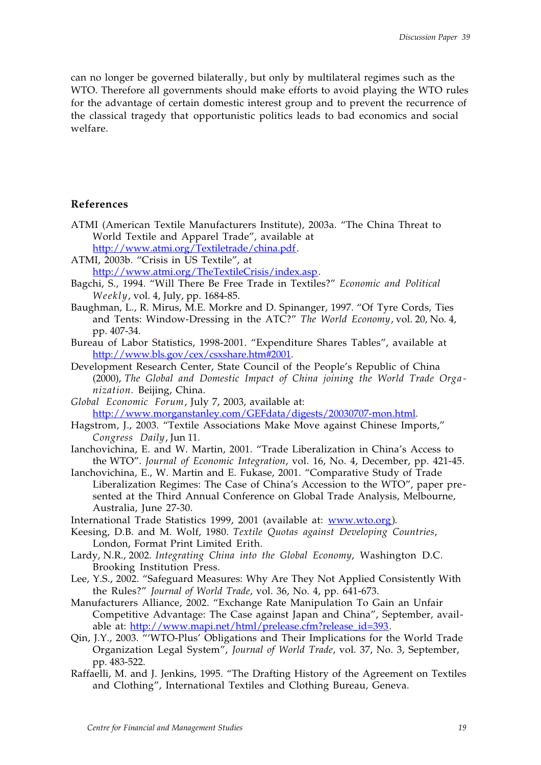can no longer be governed bilaterally, but only by multilateral regimes such as the WTO. Therefore all governments should make efforts to avoid playing the WTO rules for the advantage of certain domestic interest group and to prevent the recurrence of the classical tragedy that opportunistic politics leads to bad economics and social welfare.

# **References**

- ATMI (American Textile Manufacturers Institute), 2003a. "The China Threat to World Textile and Apparel Trade", available at http://www.atmi.org/Textiletrade/china.pdf.
- ATMI, 2003b. "Crisis in US Textile", at http://www.atmi.org/TheTextileCrisis/index.asp .
- Bagchi, S., 1994. "Will There Be Free Trade in Textiles?" *Economic and Political Weekly*, vol. 4, July, pp. 1684-85.
- Baughman, L., R. Mirus, M.E. Morkre and D. Spinanger, 1997. "Of Tyre Cords, Ties and Tents: Window-Dressing in the ATC?" *The World Economy*, vol. 20, No. 4, pp. 407-34.
- Bureau of Labor Statistics, 1998-2001. "Expenditure Shares Tables", available at http://www.bls.gov/cex/csxshare.htm#2001.
- Development Research Center, State Council of the People's Republic of China (2000), *The Global and Domestic Impact of China joining the World Trade Organization.* Beijing, China.
- *Global Economic Forum*, July 7, 2003, available at: http://www.morganstanley.com/GEFdata/digests/20030707-mon.html.
- Hagstrom, J., 2003. "Textile Associations Make Move against Chinese Imports," *Congress Daily*, Jun 11.
- Ianchovichina, E. and W. Martin, 2001. "Trade Liberalization in China's Access to the WTO". *Journal of Economic Integration*, vol. 16, No. 4, December, pp. 421-45.
- Ianchovichina, E., W. Martin and E. Fukase, 2001. "Comparative Study of Trade Liberalization Regimes: The Case of China's Accession to the WTO", paper presented at the Third Annual Conference on Global Trade Analysis, Melbourne, Australia, June 27-30.
- International Trade Statistics 1999, 2001 (available at: www.wto.org ).
- Keesing, D.B. and M. Wolf, 1980. *Textile Quotas against Developing Countries*, London, Format Print Limited Erith.
- Lardy, N.R., 2002. *Integrating China into the Global Economy*, Washington D.C. Brooking Institution Press.
- Lee, Y.S., 2002. "Safeguard Measures: Why Are They Not Applied Consistently With the Rules?" *Journal of World Trade*, vol. 36, No. 4, pp. 641-673.
- Manufacturers Alliance, 2002. "Exchange Rate Manipulation To Gain an Unfair Competitive Advantage: The Case against Japan and China", September, available at: http://www.mapi.net/html/prelease.cfm?release\_id=393.
- Qin, J.Y., 2003. "'WTO-Plus' Obligations and Their Implications for the World Trade Organization Legal System", *Journal of World Trade*, vol. 37, No. 3, September, pp. 483-522.
- Raffaelli, M. and J. Jenkins, 1995. "The Drafting History of the Agreement on Textiles and Clothing", International Textiles and Clothing Bureau, Geneva.